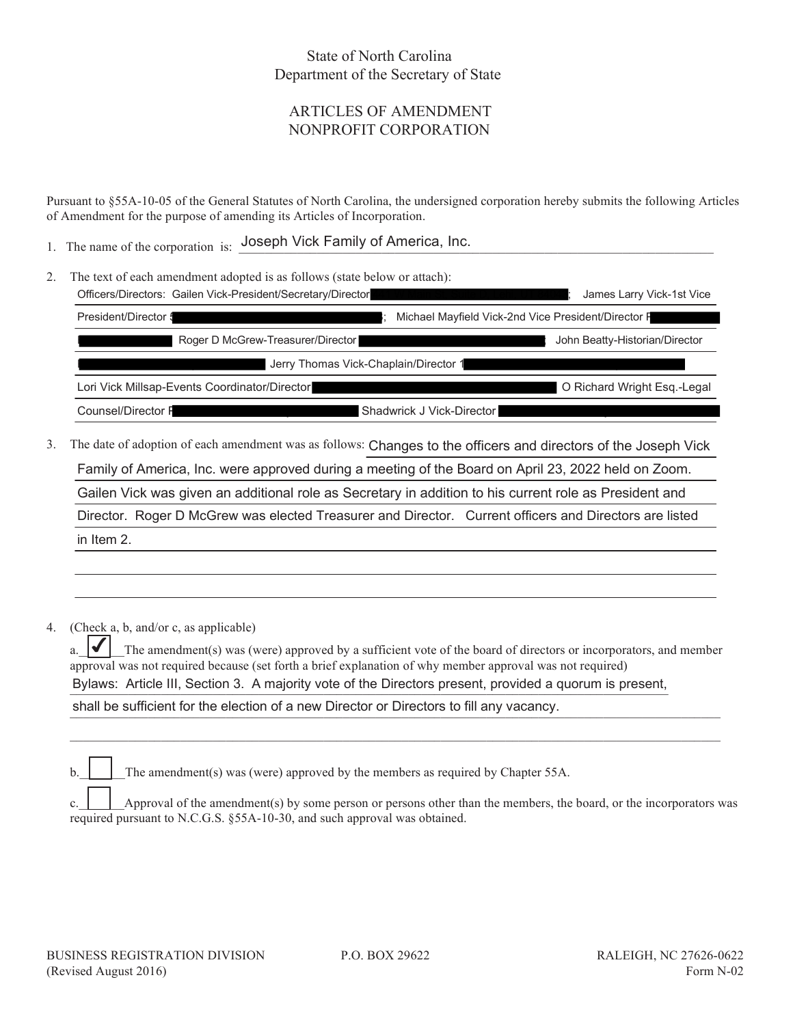## State of North Carolina Department of the Secretary of State

## ARTICLES OF AMENDMENT NONPROFIT CORPORATION

Pursuant to §55A-10-05 of the General Statutes of North Carolina, the undersigned corporation hereby submits the following Articles of Amendment for the purpose of amending its Articles of Incorporation.

1. The name of the corporation is: Joseph Vick Family of America, Inc.

|  | The text of each amendment adopted is as follows (state below or attach):                                                                                                                                                         |                                                     |                                |
|--|-----------------------------------------------------------------------------------------------------------------------------------------------------------------------------------------------------------------------------------|-----------------------------------------------------|--------------------------------|
|  | Officers/Directors: Gailen Vick-President/Secretary/Director                                                                                                                                                                      |                                                     | James Larry Vick-1st Vice      |
|  | President/Director 5                                                                                                                                                                                                              | Michael Mayfield Vick-2nd Vice President/Director F |                                |
|  | Roger D McGrew-Treasurer/Director                                                                                                                                                                                                 |                                                     | John Beatty-Historian/Director |
|  | Jerry Thomas Vick-Chaplain/Director 1                                                                                                                                                                                             |                                                     |                                |
|  | Lori Vick Millsap-Events Coordinator/Director                                                                                                                                                                                     |                                                     | O Richard Wright Esg.-Legal    |
|  | Counsel/Director F                                                                                                                                                                                                                | Shadwrick J Vick-Director                           |                                |
|  | $\mathbf{r}$ , and a set the contract of the contract of the contract of the contract of the contract of the contract of the contract of the contract of the contract of the contract of the contract of the contract of the cont |                                                     |                                |

3. The date of adoption of each amendment was as follows: Changes to the officers and directors of the Joseph Vick

Family of America, Inc. were approved during a meeting of the Board on April 23, 2022 held on Zoom.

Gailen Vick was given an additional role as Secretary in addition to his current role as President and

Director. Roger D McGrew was elected Treasurer and Director. Current officers and Directors are listed

in Item 2.

4. (Check a, b, and/or c, as applicable)

a.  $|\blacktriangleleft|$  The amendment(s) was (were) approved by a sufficient vote of the board of directors or incorporators, and member approval was not required because (set forth a brief explanation of why member approval was not required) Bylaws: Article III, Section 3. A majority vote of the Directors present, provided a quorum is present, ✔

 $\mathcal{L}_\mathcal{L} = \mathcal{L}_\mathcal{L} = \mathcal{L}_\mathcal{L} = \mathcal{L}_\mathcal{L} = \mathcal{L}_\mathcal{L} = \mathcal{L}_\mathcal{L} = \mathcal{L}_\mathcal{L} = \mathcal{L}_\mathcal{L} = \mathcal{L}_\mathcal{L} = \mathcal{L}_\mathcal{L} = \mathcal{L}_\mathcal{L} = \mathcal{L}_\mathcal{L} = \mathcal{L}_\mathcal{L} = \mathcal{L}_\mathcal{L} = \mathcal{L}_\mathcal{L} = \mathcal{L}_\mathcal{L} = \mathcal{L}_\mathcal{L}$ 

shall be sufficient for the election of a new Director or Directors to fill any vacancy.

The amendment(s) was (were) approved by the members as required by Chapter 55A.

c.  $\Box$  Approval of the amendment(s) by some person or persons other than the members, the board, or the incorporators was required pursuant to N.C.G.S. §55A-10-30, and such approval was obtained.